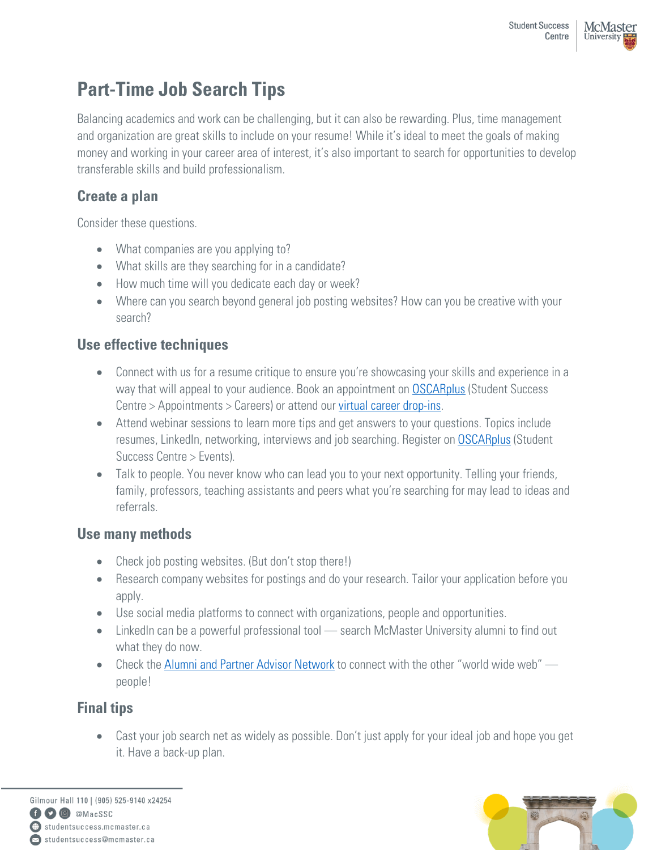# **Part-Time Job Search Tips**

Balancing academics and work can be challenging, but it can also be rewarding. Plus, time management and organization are great skills to include on your resume! While it's ideal to meet the goals of making money and working in your career area of interest, it's also important to search for opportunities to develop transferable skills and build professionalism.

# **Create a plan**

Consider these questions.

- What companies are you applying to?
- What skills are they searching for in a candidate?
- How much time will you dedicate each day or week?
- Where can you search beyond general job posting websites? How can you be creative with your search?

## **Use effective techniques**

- Connect with us for a resume critique to ensure you're showcasing your skills and experience in a way that will appeal to your audience. Book an appointment on **OSCARplus** (Student Success Centre > Appointments > Careers) or attend our [virtual career drop-ins.](https://app.brazenconnect.com/a/mcmaster-u/s/XYz04/next)
- Attend webinar sessions to learn more tips and get answers to your questions. Topics include resumes, LinkedIn, networking, interviews and job searching. Register on **[OSCARplus](https://www.oscarplusmcmaster.ca/home.htm)** (Student Success Centre > Events).
- Talk to people. You never know who can lead you to your next opportunity. Telling your friends, family, professors, teaching assistants and peers what you're searching for may lead to ideas and referrals.

### **Use many methods**

- Check job posting websites. (But don't stop there!)
- Research company websites for postings and do your research. Tailor your application before you apply.
- Use social media platforms to connect with organizations, people and opportunities.
- LinkedIn can be a powerful professional tool search McMaster University alumni to find out what they do now.
- Check the [Alumni and Partner Advisor Network](https://mcmaster.firsthand.co/) to connect with the other "world wide web" people!

# **Final tips**

• Cast your job search net as widely as possible. Don't just apply for your ideal job and hope you get it. Have a back-up plan.

Gilmour Hall 110 | (905) 525-9140 x24254 O @ @MacSSC studentsuccess.mcmaster.ca Situdentsuccess@mcmaster.ca

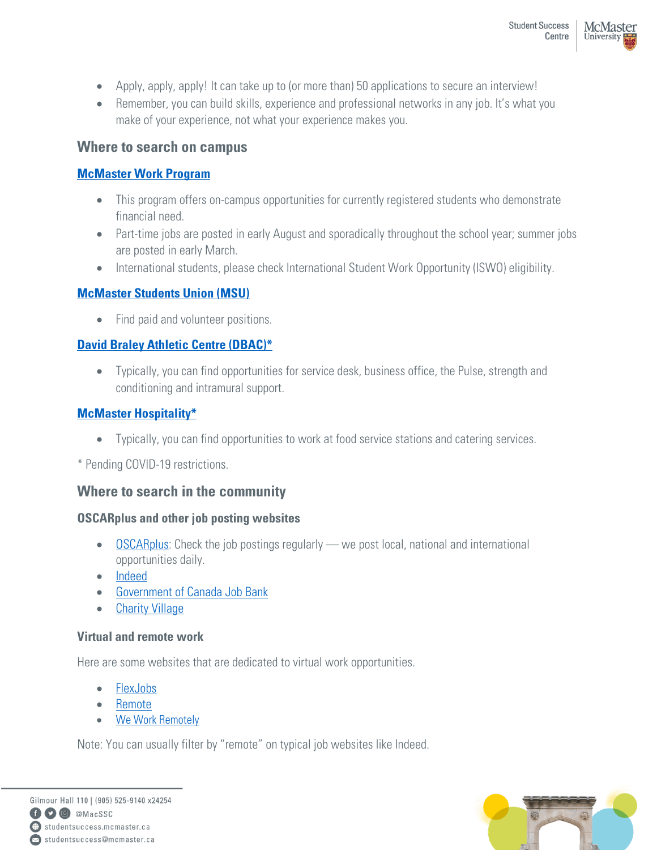- Apply, apply, apply! It can take up to (or more than) 50 applications to secure an interview!
- Remember, you can build skills, experience and professional networks in any job. It's what you make of your experience, not what your experience makes you.

### **Where to search on campus**

#### **[McMaster Work Program](https://registrar.mcmaster.ca/aid-awards/work-program/)**

- This program offers on-campus opportunities for currently registered students who demonstrate financial need.
- Part-time jobs are posted in early August and sporadically throughout the school year; summer jobs are posted in early March.
- International students, please check International Student Work Opportunity (ISWO) eligibility.

#### **[McMaster Students Union \(MSU\)](https://msumcmaster.ca/employment/available-positions/)**

• Find paid and volunteer positions.

#### **[David Braley Athletic Centre \(DBAC\)\\*](https://rec.mcmaster.ca/job-opportunities)**

• Typically, you can find opportunities for service desk, business office, the Pulse, strength and conditioning and intramural support.

#### **[McMaster Hospitality\\*](https://hospitality.mcmaster.ca/)**

• Typically, you can find opportunities to work at food service stations and catering services.

\* Pending COVID-19 restrictions.

### **Where to search in the community**

#### **OSCARplus and other job posting websites**

- [OSCARplus:](https://oscarplusmcmaster.ca/) Check the job postings regularly we post local, national and international opportunities daily.
- [Indeed](https://ca.indeed.com/)
- [Government of Canada Job Bank](https://www.jobbank.gc.ca/youth)
- [Charity Village](https://charityvillage.com/)

#### **Virtual and remote work**

Here are some websites that are dedicated to virtual work opportunities.

- [FlexJobs](https://www.flexjobs.com/)
- [Remote](https://remote.co/)
- [We Work Remotely](https://weworkremotely.com/)

Note: You can usually filter by "remote" on typical job websites like Indeed.